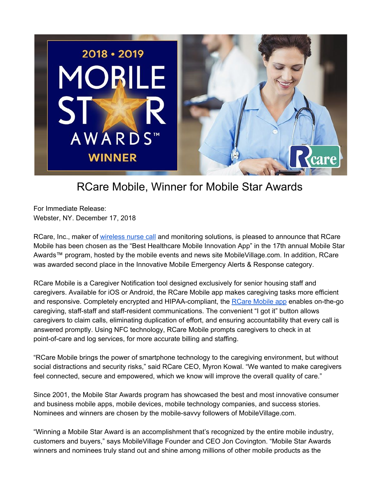

## RCare Mobile, Winner for Mobile Star Awards

For Immediate Release: Webster, NY. December 17, 2018

[RCare,](http://rcareinc.com/) Inc., maker of [wireless](https://rcareinc.com/) nurse call and monitoring solutions, is pleased to announce that RCare Mobile has been chosen as the "Best Healthcare Mobile Innovation App" in the 17th annual Mobile Star Awards™ program, hosted by the mobile events and news site MobileVillage.com. In addition, RCare was awarded second place in the Innovative Mobile Emergency Alerts & Response category.

RCare Mobile is a Caregiver Notification tool designed exclusively for senior housing staff and caregivers. Available for iOS or Android, the RCare Mobile app makes caregiving tasks more efficient and responsive. Completely encrypted and HIPAA-compliant, the RCare [Mobile](https://rcareinc.com/products/rcare-mobile/) app enables on-the-go caregiving, staff-staff and staff-resident communications. The convenient "I got it" button allows caregivers to claim calls, eliminating duplication of effort, and ensuring accountability that every call is answered promptly. Using NFC technology, RCare Mobile prompts caregivers to check in at point-of-care and log services, for more accurate billing and staffing.

"RCare Mobile brings the power of smartphone technology to the caregiving environment, but without social distractions and security risks," said RCare CEO, Myron Kowal. "We wanted to make caregivers feel connected, secure and empowered, which we know will improve the overall quality of care."

Since 2001, the Mobile Star Awards program has showcased the best and most innovative consumer and business mobile apps, mobile devices, mobile technology companies, and success stories. Nominees and winners are chosen by the mobile-savvy followers of MobileVillage.com.

"Winning a Mobile Star Award is an accomplishment that's recognized by the entire mobile industry, customers and buyers," says MobileVillage Founder and CEO Jon Covington. "Mobile Star Awards winners and nominees truly stand out and shine among millions of other mobile products as the